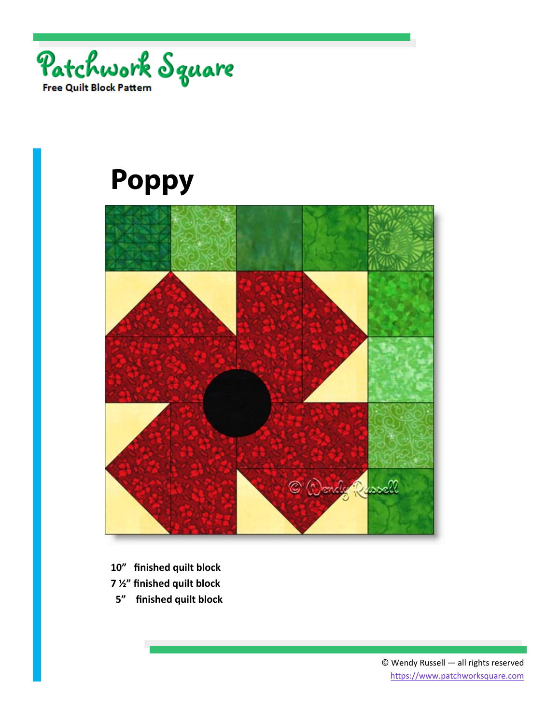



- **10" finished quilt block**
- **7 ½" finished quilt block**
- **5" finished quilt block**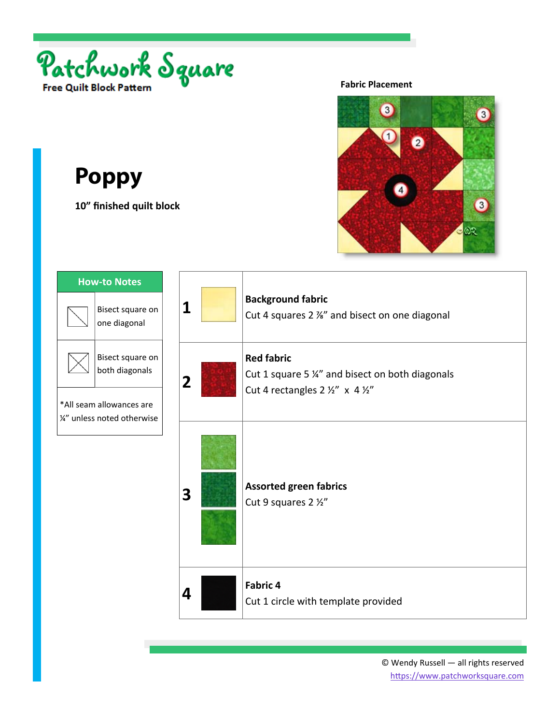

**10" finished quilt block** 

#### **Fabric Placement**



| <b>How-to Notes</b> |                                                                |                |                                                                                                         |                                                                           |
|---------------------|----------------------------------------------------------------|----------------|---------------------------------------------------------------------------------------------------------|---------------------------------------------------------------------------|
|                     | Bisect square on<br>one diagonal                               | 1              |                                                                                                         | <b>Background fabric</b><br>Cut 4 squares 2 %" and bisect on one diagonal |
|                     | Bisect square on<br>both diagonals<br>*All seam allowances are | $\overline{2}$ | <b>Red fabric</b><br>Cut 1 square 5 %" and bisect on both diagonals<br>Cut 4 rectangles 2 1/2" x 4 1/2" |                                                                           |
|                     | 1/4" unless noted otherwise                                    | 3              |                                                                                                         | <b>Assorted green fabrics</b><br>Cut 9 squares 2 1/2"                     |
|                     |                                                                | 4              |                                                                                                         | <b>Fabric 4</b><br>Cut 1 circle with template provided                    |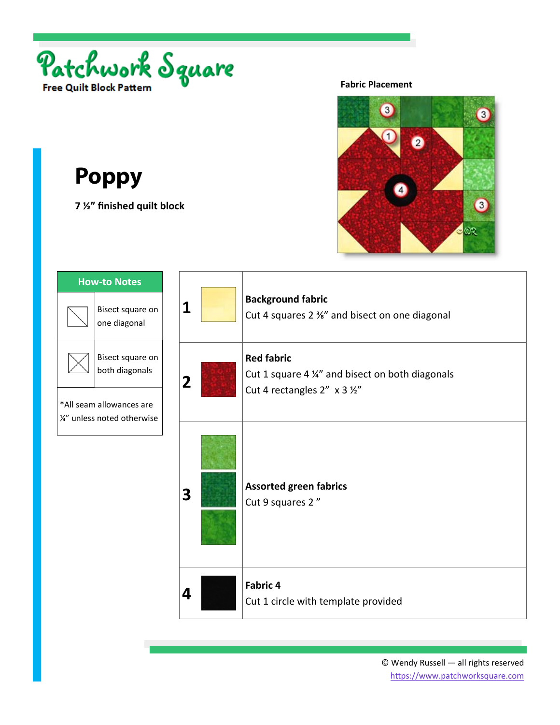

**7 ½" finished quilt block** 

#### **Fabric Placement**



| <b>How-to Notes</b>                                     |                                    |                         |                                                                                                       |
|---------------------------------------------------------|------------------------------------|-------------------------|-------------------------------------------------------------------------------------------------------|
|                                                         | Bisect square on<br>one diagonal   | 1                       | <b>Background fabric</b><br>Cut 4 squares 2 %" and bisect on one diagonal                             |
|                                                         | Bisect square on<br>both diagonals | $\overline{\mathbf{2}}$ | <b>Red fabric</b><br>Cut 1 square 4 1/4" and bisect on both diagonals<br>Cut 4 rectangles 2" x 3 1/2" |
| *All seam allowances are<br>1/2" unless noted otherwise |                                    |                         |                                                                                                       |
|                                                         |                                    | 3                       | <b>Assorted green fabrics</b><br>Cut 9 squares 2"                                                     |
|                                                         |                                    | 4                       | <b>Fabric 4</b><br>Cut 1 circle with template provided                                                |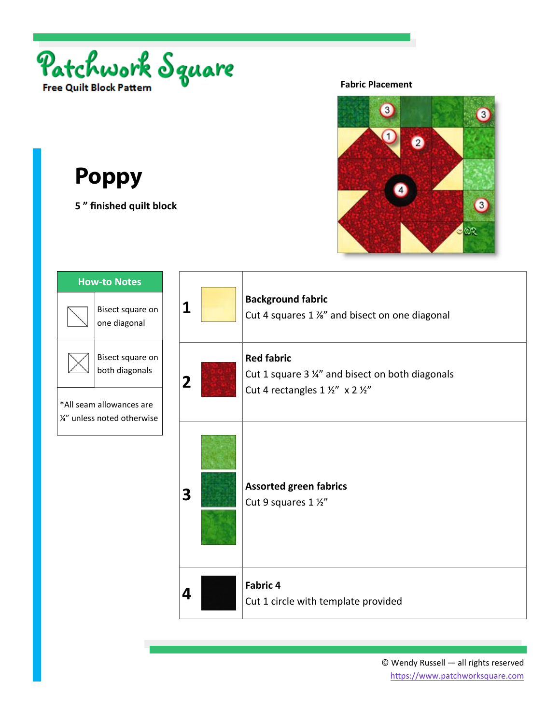

**5 " finished quilt block** 

#### **Fabric Placement**



| <b>How-to Notes</b> |                                                                |                         |                                                                                                           |
|---------------------|----------------------------------------------------------------|-------------------------|-----------------------------------------------------------------------------------------------------------|
|                     | Bisect square on<br>one diagonal                               | 1                       | <b>Background fabric</b><br>Cut 4 squares 1 %" and bisect on one diagonal                                 |
|                     | Bisect square on<br>both diagonals<br>*All seam allowances are | $\overline{\mathbf{2}}$ | <b>Red fabric</b><br>Cut 1 square 3 1/4" and bisect on both diagonals<br>Cut 4 rectangles 1 1/2" x 2 1/2" |
|                     | 1/2" unless noted otherwise                                    |                         |                                                                                                           |
|                     |                                                                | 3                       | <b>Assorted green fabrics</b><br>Cut 9 squares 1 1/2"                                                     |
|                     |                                                                | 4                       | Fabric 4<br>Cut 1 circle with template provided                                                           |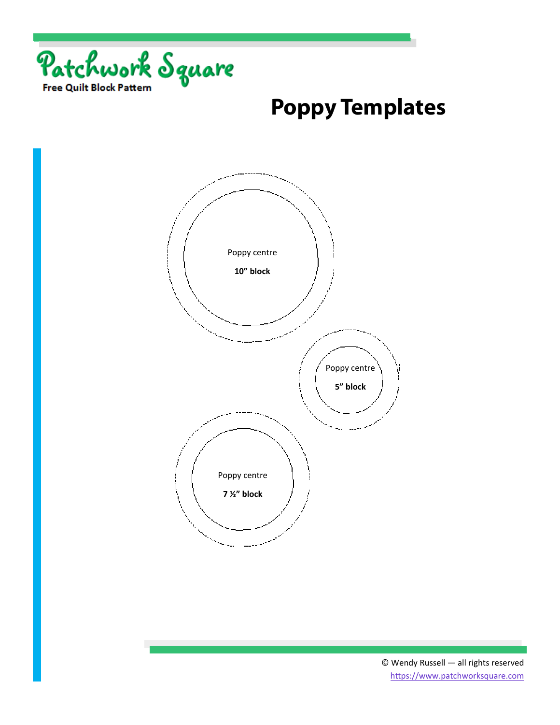

### **Poppy Templates**